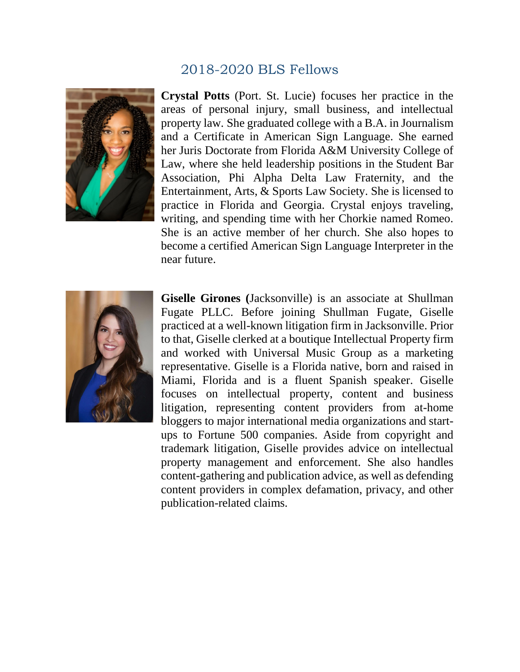## 2018-2020 BLS Fellows



**Crystal Potts** (Port. St. Lucie) focuses her practice in the areas of personal injury, small business, and intellectual property law. She graduated college with a B.A. in Journalism and a Certificate in American Sign Language. She earned her Juris Doctorate from Florida A&M University College of Law, where she held leadership positions in the Student Bar Association, Phi Alpha Delta Law Fraternity, and the Entertainment, Arts, & Sports Law Society. She is licensed to practice in Florida and Georgia. Crystal enjoys traveling, writing, and spending time with her Chorkie named Romeo. She is an active member of her church. She also hopes to become a certified American Sign Language Interpreter in the near future.



**Giselle Girones (**Jacksonville) is an associate at Shullman Fugate PLLC. Before joining Shullman Fugate, Giselle practiced at a well-known litigation firm in Jacksonville. Prior to that, Giselle clerked at a boutique Intellectual Property firm and worked with Universal Music Group as a marketing representative. Giselle is a Florida native, born and raised in Miami, Florida and is a fluent Spanish speaker. Giselle focuses on intellectual property, content and business litigation, representing content providers from at-home bloggers to major international media organizations and startups to Fortune 500 companies. Aside from copyright and trademark litigation, Giselle provides advice on intellectual property management and enforcement. She also handles content-gathering and publication advice, as well as defending content providers in complex defamation, privacy, and other publication-related claims.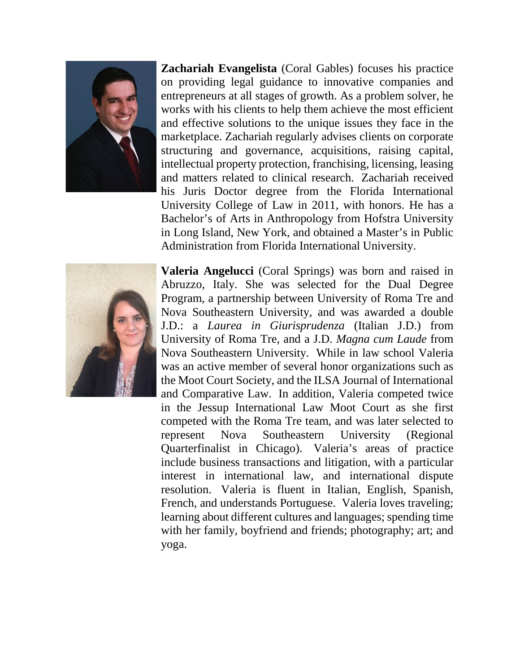

**Zachariah Evangelista** (Coral Gables) focuses his practice on providing legal guidance to innovative companies and entrepreneurs at all stages of growth. As a problem solver, he works with his clients to help them achieve the most efficient and effective solutions to the unique issues they face in the marketplace. Zachariah regularly advises clients on corporate structuring and governance, acquisitions, raising capital, intellectual property protection, franchising, licensing, leasing and matters related to clinical research. Zachariah received his Juris Doctor degree from the Florida International University College of Law in 2011, with honors. He has a Bachelor's of Arts in Anthropology from Hofstra University in Long Island, New York, and obtained a Master's in Public Administration from Florida International University.



**Valeria Angelucci** (Coral Springs) was born and raised in Abruzzo, Italy. She was selected for the Dual Degree Program, a partnership between University of Roma Tre and Nova Southeastern University, and was awarded a double J.D.: a *Laurea in Giurisprudenza* (Italian J.D.) from University of Roma Tre, and a J.D. *Magna cum Laude* from Nova Southeastern University. While in law school Valeria was an active member of several honor organizations such as the Moot Court Society, and the ILSA Journal of International and Comparative Law. In addition, Valeria competed twice in the Jessup International Law Moot Court as she first competed with the Roma Tre team, and was later selected to represent Nova Southeastern University (Regional Quarterfinalist in Chicago). Valeria's areas of practice include business transactions and litigation, with a particular interest in international law, and international dispute resolution. Valeria is fluent in Italian, English, Spanish, French, and understands Portuguese. Valeria loves traveling; learning about different cultures and languages; spending time with her family, boyfriend and friends; photography; art; and yoga.